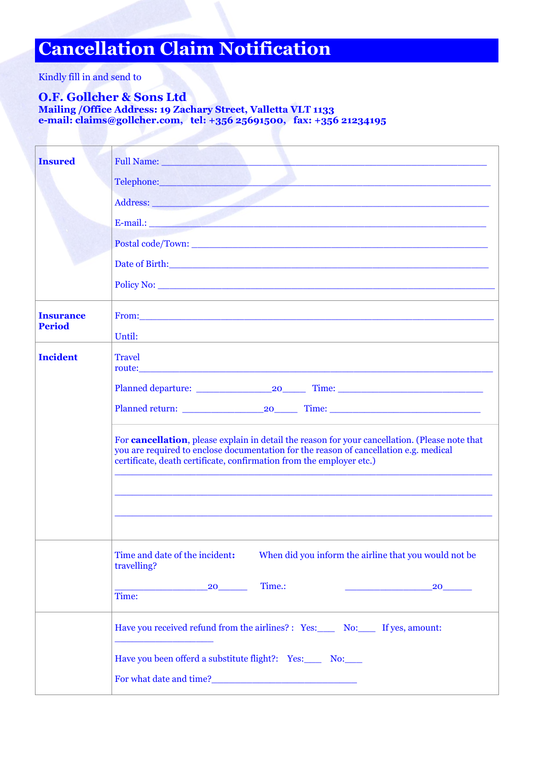## **Cancellation Claim Notification**

Kindly fill in and send to

## **O.F. Gollcher & Sons Ltd**

**Mailing /Office Address: 19 Zachary Street, Valletta VLT 1133 e-mail: [claims@gollcher.com,](mailto:claims@gollcher.com) tel: +356 25691500, fax: +356 21234195**

| <b>Insured</b>   | Full Name:                                                                                                                                                                                                                                                              |
|------------------|-------------------------------------------------------------------------------------------------------------------------------------------------------------------------------------------------------------------------------------------------------------------------|
|                  | Telephone: and the contract of the contract of the contract of the contract of the contract of the contract of                                                                                                                                                          |
|                  | Address: <u>Address:</u> Address: Address: Address: Address: Address: Address: Address: Address: Address: Address: Address: Address: Address: Address: Address: Address: Address: Address: Address: Address: Address: Address: Addr                                     |
|                  | E-mail.: 2008. The contract of the contract of the contract of the contract of the contract of the contract of the contract of the contract of the contract of the contract of the contract of the contract of the contract of                                          |
|                  |                                                                                                                                                                                                                                                                         |
|                  | Date of Birth: <u>Alexander Alexander and Charles and Charles and Charles and Charles and Charles and Charles and Charles and Charles and Charles and Charles and Charles and Charles and Charles and Charles and Charles and Ch</u>                                    |
|                  |                                                                                                                                                                                                                                                                         |
| <b>Insurance</b> |                                                                                                                                                                                                                                                                         |
| <b>Period</b>    | Until:                                                                                                                                                                                                                                                                  |
| <b>Incident</b>  | <b>Travel</b>                                                                                                                                                                                                                                                           |
|                  |                                                                                                                                                                                                                                                                         |
|                  |                                                                                                                                                                                                                                                                         |
|                  | For <b>cancellation</b> , please explain in detail the reason for your cancellation. (Please note that<br>you are required to enclose documentation for the reason of cancellation e.g. medical<br>certificate, death certificate, confirmation from the employer etc.) |
|                  |                                                                                                                                                                                                                                                                         |
|                  | Time and date of the incident:<br>When did you inform the airline that you would not be<br>travelling?                                                                                                                                                                  |
|                  | Time.:<br>20<br>20 30 40<br><u> 1990 - Jan James James, politik politik (</u><br>Time:                                                                                                                                                                                  |
|                  | Have you received refund from the airlines? : Yes: No: If yes, amount:                                                                                                                                                                                                  |
|                  | Have you been offerd a substitute flight?: Yes: No:                                                                                                                                                                                                                     |
|                  | For what date and time?<br><u>For what date and time?</u>                                                                                                                                                                                                               |